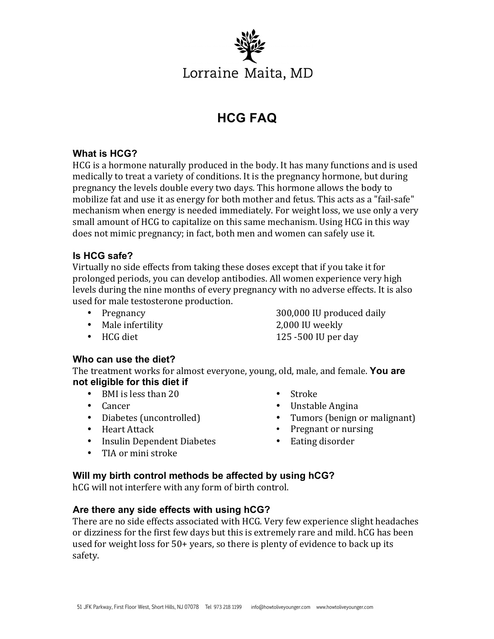

# **HCG FAQ**

### **What is HCG?**

HCG is a hormone naturally produced in the body. It has many functions and is used medically to treat a variety of conditions. It is the pregnancy hormone, but during pregnancy the levels double every two days. This hormone allows the body to mobilize fat and use it as energy for both mother and fetus. This acts as a "fail-safe" mechanism when energy is needed immediately. For weight loss, we use only a very small amount of HCG to capitalize on this same mechanism. Using HCG in this way does not mimic pregnancy; in fact, both men and women can safely use it.

#### **Is HCG safe?**

Virtually no side effects from taking these doses except that if you take it for prolonged periods, you can develop antibodies. All women experience very high levels during the nine months of every pregnancy with no adverse effects. It is also used for male testosterone production.

- 
- Male infertility 2,000 IU weekly
- Pregnancy 300,000 IU produced daily • HCG diet 25 -500 IU per day
- 

# **Who can use the diet?**

The treatment works for almost everyone, young, old, male, and female. You are **not eligible for this diet if**

- BMI is less than 20
- Cancer
- Diabetes (uncontrolled)
- Heart Attack
- Insulin Dependent Diabetes
- TIA or mini stroke
- Stroke
- Unstable Angina
- Tumors (benign or malignant)
- Pregnant or nursing
- Eating disorder

# **Will my birth control methods be affected by using hCG?**

hCG will not interfere with any form of birth control.

# **Are there any side effects with using hCG?**

There are no side effects associated with HCG. Very few experience slight headaches or dizziness for the first few days but this is extremely rare and mild. hCG has been used for weight loss for  $50+$  years, so there is plenty of evidence to back up its safety.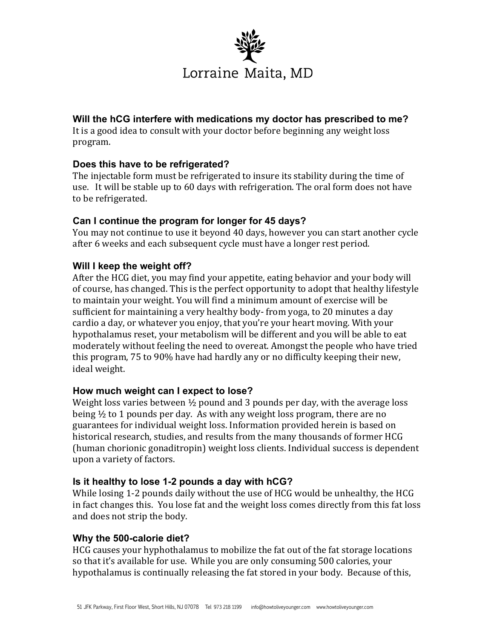

### **Will the hCG interfere with medications my doctor has prescribed to me?**

It is a good idea to consult with your doctor before beginning any weight loss program.

# **Does this have to be refrigerated?**

The injectable form must be refrigerated to insure its stability during the time of use. It will be stable up to 60 days with refrigeration. The oral form does not have to be refrigerated.

#### **Can I continue the program for longer for 45 days?**

You may not continue to use it beyond 40 days, however you can start another cycle after 6 weeks and each subsequent cycle must have a longer rest period.

# **Will I keep the weight off?**

After the HCG diet, you may find your appetite, eating behavior and your body will of course, has changed. This is the perfect opportunity to adopt that healthy lifestyle to maintain your weight. You will find a minimum amount of exercise will be sufficient for maintaining a very healthy body-from yoga, to 20 minutes a day cardio a day, or whatever you enjoy, that you're your heart moving. With your hypothalamus reset, your metabolism will be different and you will be able to eat moderately without feeling the need to overeat. Amongst the people who have tried this program, 75 to 90% have had hardly any or no difficulty keeping their new, ideal weight.

#### **How much weight can I expect to lose?**

Weight loss varies between  $\frac{1}{2}$  pound and 3 pounds per day, with the average loss being  $\frac{1}{2}$  to 1 pounds per day. As with any weight loss program, there are no guarantees for individual weight loss. Information provided herein is based on historical research, studies, and results from the many thousands of former HCG (human chorionic gonaditropin) weight loss clients. Individual success is dependent upon a variety of factors.

#### **Is it healthy to lose 1-2 pounds a day with hCG?**

While losing 1-2 pounds daily without the use of HCG would be unhealthy, the HCG in fact changes this. You lose fat and the weight loss comes directly from this fat loss and does not strip the body.

#### **Why the 500-calorie diet?**

HCG causes your hyphothalamus to mobilize the fat out of the fat storage locations so that it's available for use. While you are only consuming 500 calories, your hypothalamus is continually releasing the fat stored in your body. Because of this,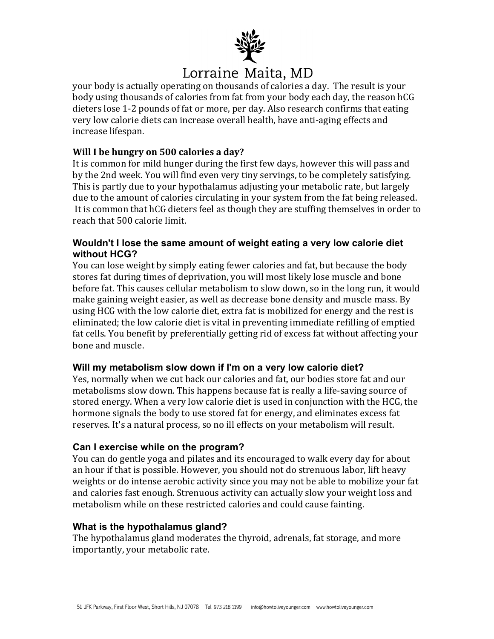

**EXECTE IN EXECT MALLA, MO**<br>your body is actually operating on thousands of calories a day. The result is your body using thousands of calories from fat from your body each day, the reason hCG dieters lose 1-2 pounds of fat or more, per day. Also research confirms that eating very low calorie diets can increase overall health, have anti-aging effects and increase lifespan. 

### **Will I be hungry on 500 calories a day?**

It is common for mild hunger during the first few days, however this will pass and by the 2nd week. You will find even very tiny servings, to be completely satisfying. This is partly due to your hypothalamus adjusting your metabolic rate, but largely due to the amount of calories circulating in your system from the fat being released. It is common that hCG dieters feel as though they are stuffing themselves in order to reach that 500 calorie limit.

### **Wouldn't I lose the same amount of weight eating a very low calorie diet without HCG?**

You can lose weight by simply eating fewer calories and fat, but because the body stores fat during times of deprivation, you will most likely lose muscle and bone before fat. This causes cellular metabolism to slow down, so in the long run, it would make gaining weight easier, as well as decrease bone density and muscle mass. By using HCG with the low calorie diet, extra fat is mobilized for energy and the rest is eliminated; the low calorie diet is vital in preventing immediate refilling of emptied fat cells. You benefit by preferentially getting rid of excess fat without affecting your bone and muscle.

#### **Will my metabolism slow down if I'm on a very low calorie diet?**

Yes, normally when we cut back our calories and fat, our bodies store fat and our metabolisms slow down. This happens because fat is really a life-saving source of stored energy. When a very low calorie diet is used in conjunction with the HCG, the hormone signals the body to use stored fat for energy, and eliminates excess fat reserves. It's a natural process, so no ill effects on your metabolism will result.

#### **Can I exercise while on the program?**

You can do gentle yoga and pilates and its encouraged to walk every day for about an hour if that is possible. However, you should not do strenuous labor, lift heavy weights or do intense aerobic activity since you may not be able to mobilize your fat and calories fast enough. Strenuous activity can actually slow your weight loss and metabolism while on these restricted calories and could cause fainting.

#### **What is the hypothalamus gland?**

The hypothalamus gland moderates the thyroid, adrenals, fat storage, and more importantly, your metabolic rate.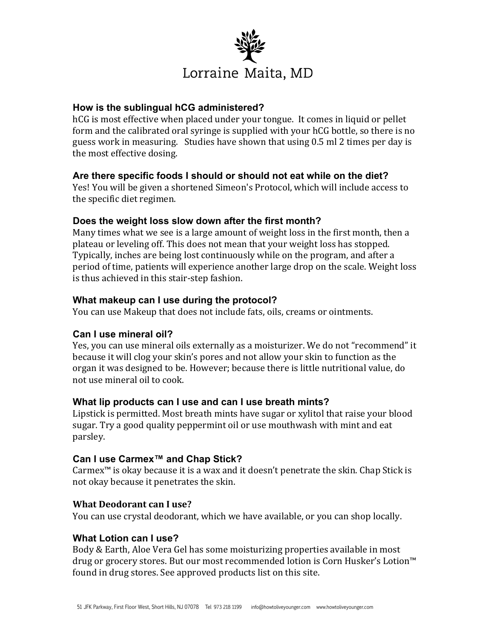

#### **How is the sublingual hCG administered?**

hCG is most effective when placed under your tongue. It comes in liquid or pellet form and the calibrated oral syringe is supplied with your hCG bottle, so there is no guess work in measuring. Studies have shown that using 0.5 ml 2 times per day is the most effective dosing.

#### **Are there specific foods I should or should not eat while on the diet?**

Yes! You will be given a shortened Simeon's Protocol, which will include access to the specific diet regimen.

#### **Does the weight loss slow down after the first month?**

Many times what we see is a large amount of weight loss in the first month, then a plateau or leveling off. This does not mean that your weight loss has stopped. Typically, inches are being lost continuously while on the program, and after a period of time, patients will experience another large drop on the scale. Weight loss is thus achieved in this stair-step fashion.

#### **What makeup can I use during the protocol?**

You can use Makeup that does not include fats, oils, creams or ointments.

#### **Can I use mineral oil?**

Yes, you can use mineral oils externally as a moisturizer. We do not "recommend" it because it will clog your skin's pores and not allow your skin to function as the organ it was designed to be. However; because there is little nutritional value, do not use mineral oil to cook.

#### **What lip products can I use and can I use breath mints?**

Lipstick is permitted. Most breath mints have sugar or xylitol that raise your blood sugar. Try a good quality peppermint oil or use mouthwash with mint and eat parsley. 

#### **Can I use Carmex™ and Chap Stick?**

Carmex<sup>™</sup> is okay because it is a wax and it doesn't penetrate the skin. Chap Stick is not okay because it penetrates the skin.

#### **What Deodorant can I use?**

You can use crystal deodorant, which we have available, or you can shop locally.

#### **What Lotion can I use?**

Body & Earth, Aloe Vera Gel has some moisturizing properties available in most drug or grocery stores. But our most recommended lotion is Corn Husker's Lotion<sup>™</sup> found in drug stores. See approved products list on this site.